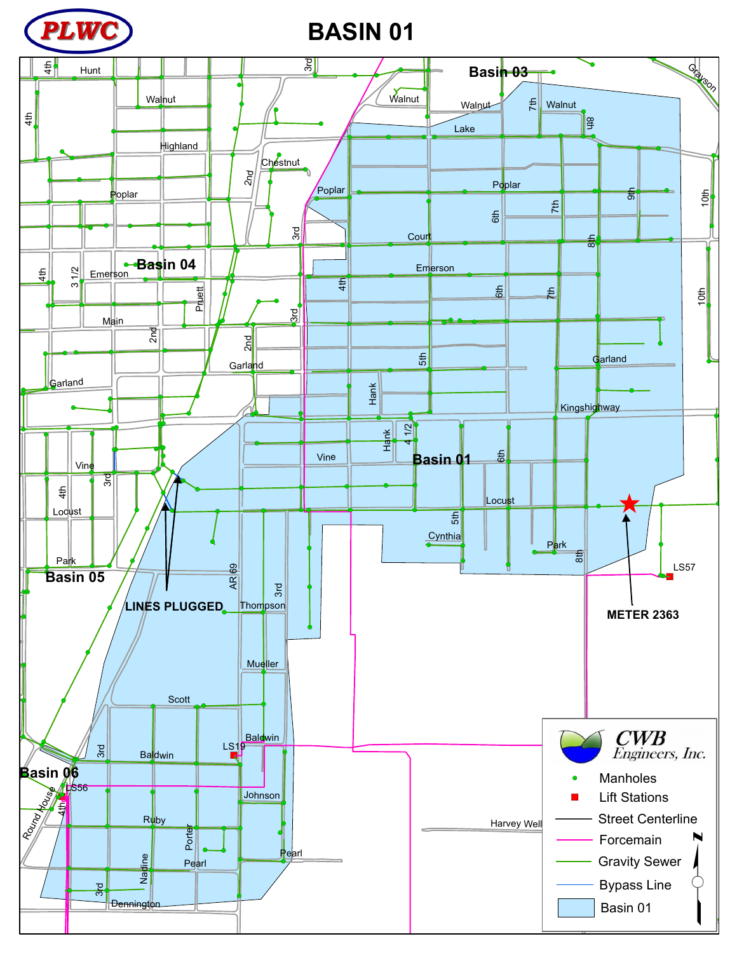

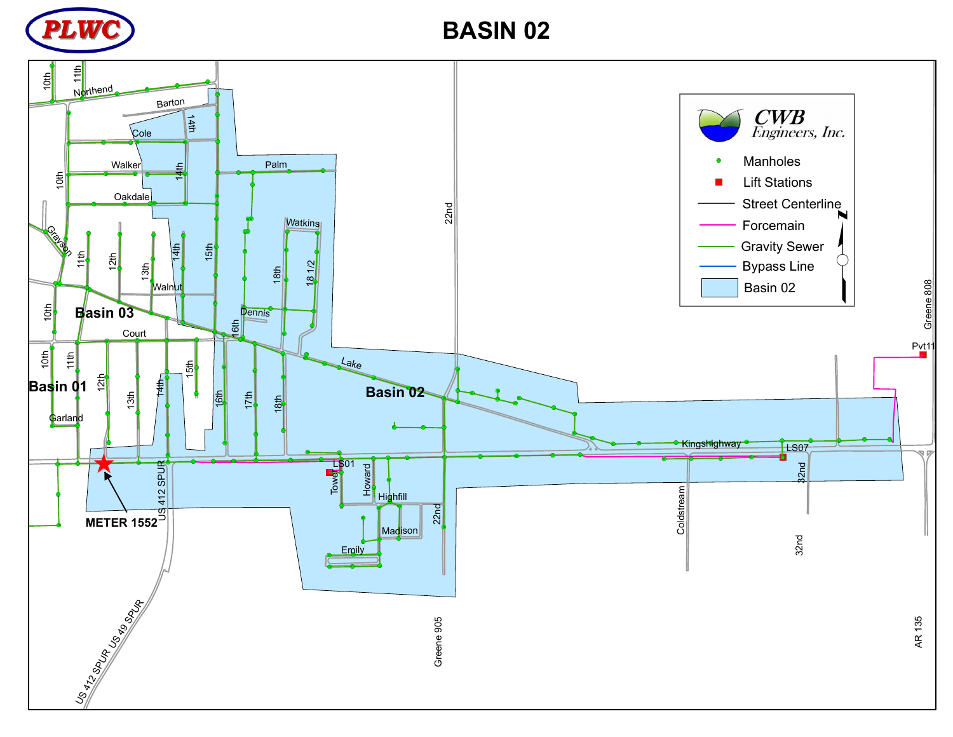

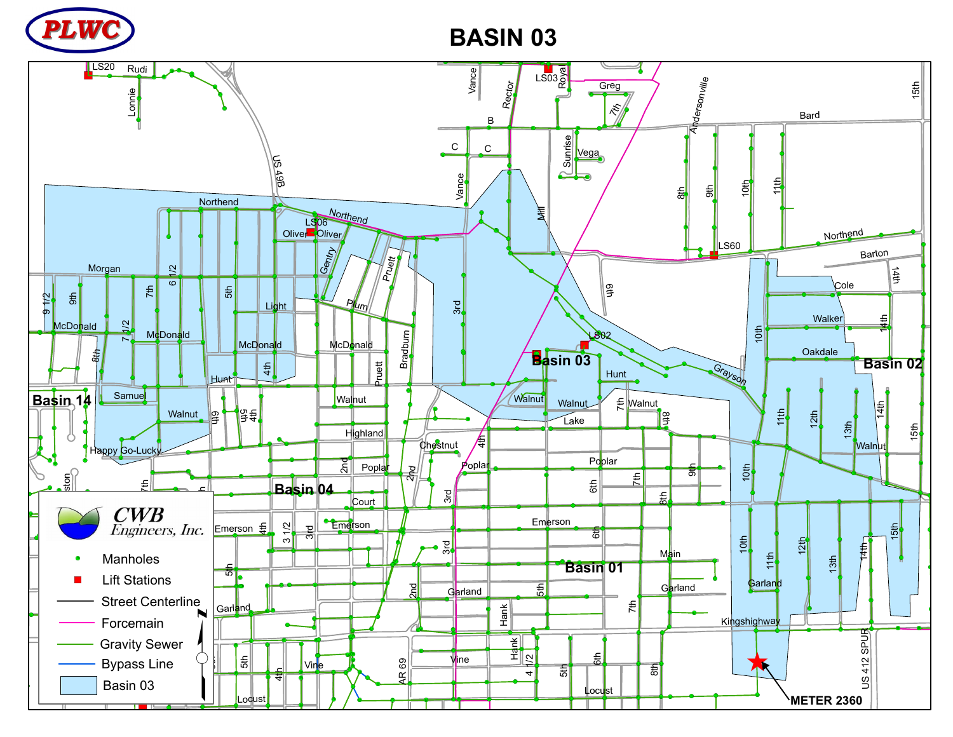